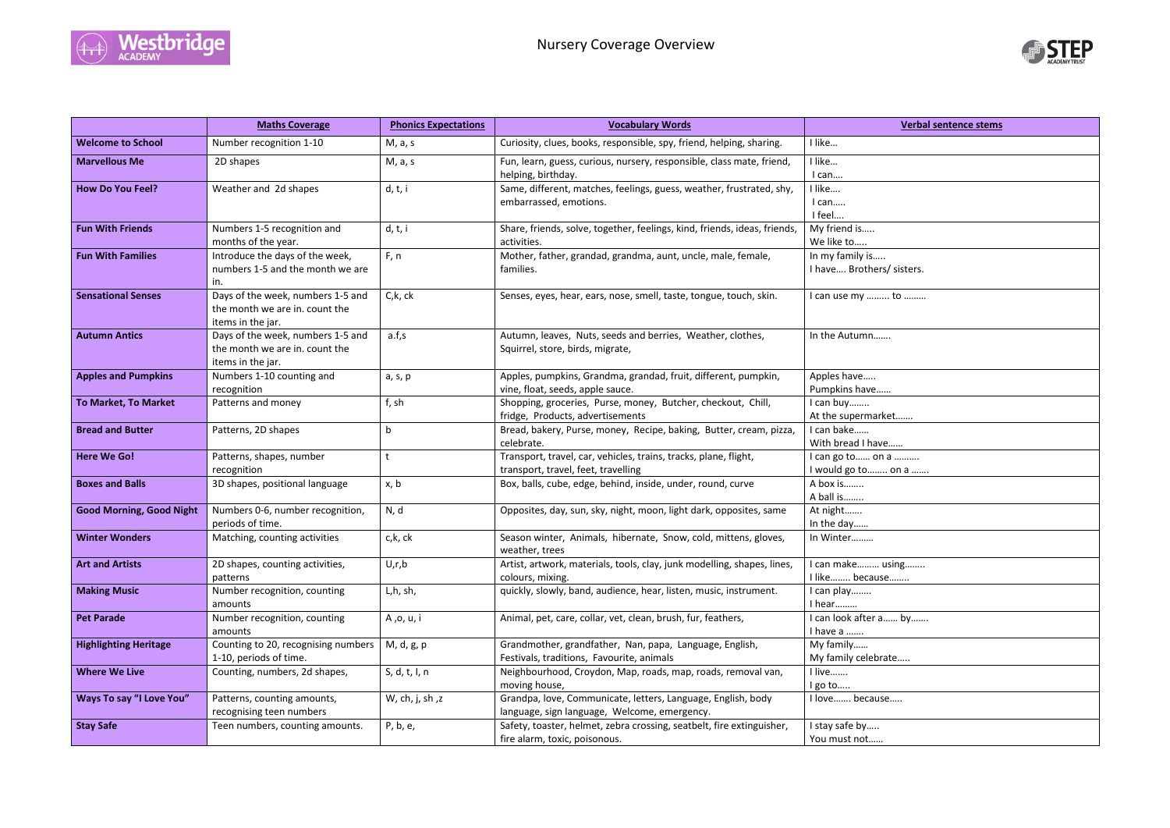



|                                 | <b>Maths Coverage</b>                                                                    | <b>Phonics Expectations</b> | <b>Vocabulary Words</b>                                                                                      | <b>Verbal sentence stems</b>                 |
|---------------------------------|------------------------------------------------------------------------------------------|-----------------------------|--------------------------------------------------------------------------------------------------------------|----------------------------------------------|
| <b>Welcome to School</b>        | Number recognition 1-10                                                                  | M, a, s                     | Curiosity, clues, books, responsible, spy, friend, helping, sharing.                                         | I like                                       |
| <b>Marvellous Me</b>            | 2D shapes                                                                                | M, a, s                     | Fun, learn, guess, curious, nursery, responsible, class mate, friend,<br>helping, birthday.                  | I like<br>I can                              |
| <b>How Do You Feel?</b>         | Weather and 2d shapes                                                                    | d, t, i                     | Same, different, matches, feelings, guess, weather, frustrated, shy,<br>embarrassed, emotions.               | I like<br>I can<br>I feel                    |
| <b>Fun With Friends</b>         | Numbers 1-5 recognition and<br>months of the year.                                       | d, t, i                     | Share, friends, solve, together, feelings, kind, friends, ideas, friends,<br>activities.                     | My friend is<br>We like to                   |
| <b>Fun With Families</b>        | Introduce the days of the week,<br>numbers 1-5 and the month we are<br>in.               | F, n                        | Mother, father, grandad, grandma, aunt, uncle, male, female,<br>families.                                    | In my family is<br>I have Brothers/ sisters. |
| <b>Sensational Senses</b>       | Days of the week, numbers 1-5 and<br>the month we are in. count the<br>items in the jar. | C, k, c k                   | Senses, eyes, hear, ears, nose, smell, taste, tongue, touch, skin.                                           | I can use my  to                             |
| <b>Autumn Antics</b>            | Days of the week, numbers 1-5 and<br>the month we are in. count the<br>items in the jar. | a.f,s                       | Autumn, leaves, Nuts, seeds and berries, Weather, clothes,<br>Squirrel, store, birds, migrate,               | In the Autumn                                |
| <b>Apples and Pumpkins</b>      | Numbers 1-10 counting and<br>recognition                                                 | a, s, p                     | Apples, pumpkins, Grandma, grandad, fruit, different, pumpkin,<br>vine, float, seeds, apple sauce.           | Apples have<br>Pumpkins have                 |
| <b>To Market, To Market</b>     | Patterns and money                                                                       | f, sh                       | Shopping, groceries, Purse, money, Butcher, checkout, Chill,<br>fridge, Products, advertisements             | I can buy<br>At the supermarket              |
| <b>Bread and Butter</b>         | Patterns, 2D shapes                                                                      | b                           | Bread, bakery, Purse, money, Recipe, baking, Butter, cream, pizza,<br>celebrate.                             | I can bake<br>With bread I have              |
| <b>Here We Go!</b>              | Patterns, shapes, number<br>recognition                                                  | t                           | Transport, travel, car, vehicles, trains, tracks, plane, flight,<br>transport, travel, feet, travelling      | I can go to  on a<br>I would go to  on a     |
| <b>Boxes and Balls</b>          | 3D shapes, positional language                                                           | x, b                        | Box, balls, cube, edge, behind, inside, under, round, curve                                                  | A box is<br>A ball is                        |
| <b>Good Morning, Good Night</b> | Numbers 0-6, number recognition,<br>periods of time.                                     | N, d                        | Opposites, day, sun, sky, night, moon, light dark, opposites, same                                           | At night<br>In the day                       |
| <b>Winter Wonders</b>           | Matching, counting activities                                                            | c,k, ck                     | Season winter, Animals, hibernate, Snow, cold, mittens, gloves,<br>weather, trees                            | In Winter                                    |
| <b>Art and Artists</b>          | 2D shapes, counting activities,<br>patterns                                              | U,r,b                       | Artist, artwork, materials, tools, clay, junk modelling, shapes, lines,<br>colours, mixing.                  | I can make using<br>I like because           |
| <b>Making Music</b>             | Number recognition, counting<br>amounts                                                  | L,h, sh,                    | quickly, slowly, band, audience, hear, listen, music, instrument.                                            | I can play<br>I hear                         |
| <b>Pet Parade</b>               | Number recognition, counting<br>amounts                                                  | A ,o, u, i                  | Animal, pet, care, collar, vet, clean, brush, fur, feathers,                                                 | I can look after a  by<br>I have a           |
| <b>Highlighting Heritage</b>    | Counting to 20, recognising numbers<br>1-10, periods of time.                            | M, d, g, p                  | Grandmother, grandfather, Nan, papa, Language, English,<br>Festivals, traditions, Favourite, animals         | My family<br>My family celebrate             |
| <b>Where We Live</b>            | Counting, numbers, 2d shapes,                                                            | S, d, t, l, n               | Neighbourhood, Croydon, Map, roads, map, roads, removal van,<br>moving house,                                | I live<br>I go to                            |
| <b>Ways To say "I Love You"</b> | Patterns, counting amounts,<br>recognising teen numbers                                  | W, ch, j, sh,z              | Grandpa, love, Communicate, letters, Language, English, body<br>language, sign language, Welcome, emergency. | I love because                               |
| <b>Stay Safe</b>                | Teen numbers, counting amounts.                                                          | P, b, e,                    | Safety, toaster, helmet, zebra crossing, seatbelt, fire extinguisher,<br>fire alarm, toxic, poisonous.       | I stay safe by<br>You must not               |



| <b>Verbal sentence stems</b>                 |
|----------------------------------------------|
|                                              |
|                                              |
|                                              |
|                                              |
|                                              |
|                                              |
| / sisters.                                   |
|                                              |
| to                                           |
|                                              |
|                                              |
|                                              |
|                                              |
|                                              |
| et                                           |
| the company of the company of the company of |
| 2                                            |
| a<br>. on a                                  |
|                                              |
|                                              |
|                                              |
|                                              |
| sing                                         |
| e <u></u> .                                  |
|                                              |
| by                                           |
|                                              |
|                                              |
| ate                                          |
|                                              |
| e                                            |
|                                              |
|                                              |